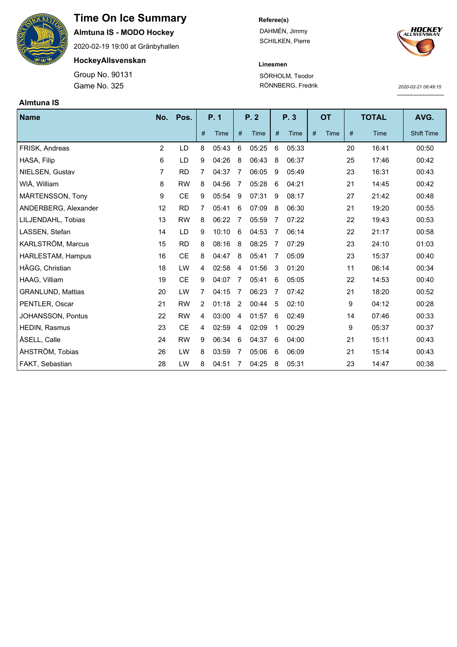

## **Time On Ice Summary**

**Almtuna IS - MODO Hockey**

2020-02-19 19:00 at Gränbyhallen

**HockeyAllsvenskan**

Game No. 325 Group No. 90131 **Referee(s)**

DAHMÉN, Jimmy SCHILKEN, Pierre



## **Linesmen** SÖRHOLM, Teodor

RÖNNBERG, Fredrik

*2020-02-21 08:49:15*

|  | Almtuna IS |  |
|--|------------|--|
|--|------------|--|

| Name                     | No.            | Pos.      |                | P. 1  |    | P.2   |   | P. 3  |   | <b>OT</b> |    | <b>TOTAL</b> | AVG.              |
|--------------------------|----------------|-----------|----------------|-------|----|-------|---|-------|---|-----------|----|--------------|-------------------|
|                          |                |           | #              | Time  | #  | Time  | # | Time  | # | Time      | #  | Time         | <b>Shift Time</b> |
| FRISK, Andreas           | $\overline{2}$ | LD.       | 8              | 05:43 | 6  | 05:25 | 6 | 05:33 |   |           | 20 | 16:41        | 00:50             |
| HASA, Filip              | 6              | LD        | 9              | 04:26 | 8  | 06:43 | 8 | 06:37 |   |           | 25 | 17:46        | 00:42             |
| NIELSEN, Gustav          | 7              | <b>RD</b> | 7              | 04:37 | 7  | 06:05 | 9 | 05:49 |   |           | 23 | 16:31        | 00:43             |
| WIÅ, William             | 8              | <b>RW</b> | 8              | 04:56 | 7  | 05:28 | 6 | 04:21 |   |           | 21 | 14:45        | 00:42             |
| MÅRTENSSON, Tony         | 9              | <b>CE</b> | 9              | 05:54 | 9  | 07:31 | 9 | 08:17 |   |           | 27 | 21:42        | 00:48             |
| ANDERBERG, Alexander     | 12             | <b>RD</b> | 7              | 05:41 | 6  | 07:09 | 8 | 06:30 |   |           | 21 | 19:20        | 00:55             |
| LILJENDAHL, Tobias       | 13             | <b>RW</b> | 8              | 06:22 | -7 | 05:59 | 7 | 07:22 |   |           | 22 | 19:43        | 00:53             |
| LASSEN, Stefan           | 14             | LD.       | 9              | 10:10 | 6  | 04:53 |   | 06:14 |   |           | 22 | 21:17        | 00:58             |
| KARLSTRÖM, Marcus        | 15             | <b>RD</b> | 8              | 08:16 | 8  | 08:25 | 7 | 07:29 |   |           | 23 | 24:10        | 01:03             |
| HARLESTAM, Hampus        | 16             | <b>CE</b> | 8              | 04:47 | 8  | 05:41 | 7 | 05:09 |   |           | 23 | 15:37        | 00:40             |
| HÄGG, Christian          | 18             | LW        | 4              | 02:58 | 4  | 01:56 | 3 | 01:20 |   |           | 11 | 06:14        | 00:34             |
| HAAG, Villiam            | 19             | CE        | 9              | 04:07 | 7  | 05:41 | 6 | 05:05 |   |           | 22 | 14:53        | 00:40             |
| <b>GRANLUND, Mattias</b> | 20             | LW        | 7              | 04:15 | 7  | 06:23 | 7 | 07:42 |   |           | 21 | 18:20        | 00:52             |
| PENTLER, Oscar           | 21             | <b>RW</b> | $\overline{2}$ | 01:18 | 2  | 00:44 | 5 | 02:10 |   |           | 9  | 04:12        | 00:28             |
| JOHANSSON, Pontus        | 22             | <b>RW</b> | 4              | 03:00 | 4  | 01:57 | 6 | 02:49 |   |           | 14 | 07:46        | 00:33             |
| HEDIN, Rasmus            | 23             | <b>CE</b> | 4              | 02:59 | 4  | 02:09 | 1 | 00:29 |   |           | 9  | 05:37        | 00:37             |
| ÅSELL, Calle             | 24             | <b>RW</b> | 9              | 06:34 | 6  | 04:37 | 6 | 04:00 |   |           | 21 | 15:11        | 00:43             |
| ÅHSTRÖM, Tobias          | 26             | LW        | 8              | 03:59 | 7  | 05:06 | 6 | 06:09 |   |           | 21 | 15:14        | 00:43             |
| FAKT, Sebastian          | 28             | LW        | 8              | 04:51 | 7  | 04:25 | 8 | 05:31 |   |           | 23 | 14:47        | 00:38             |